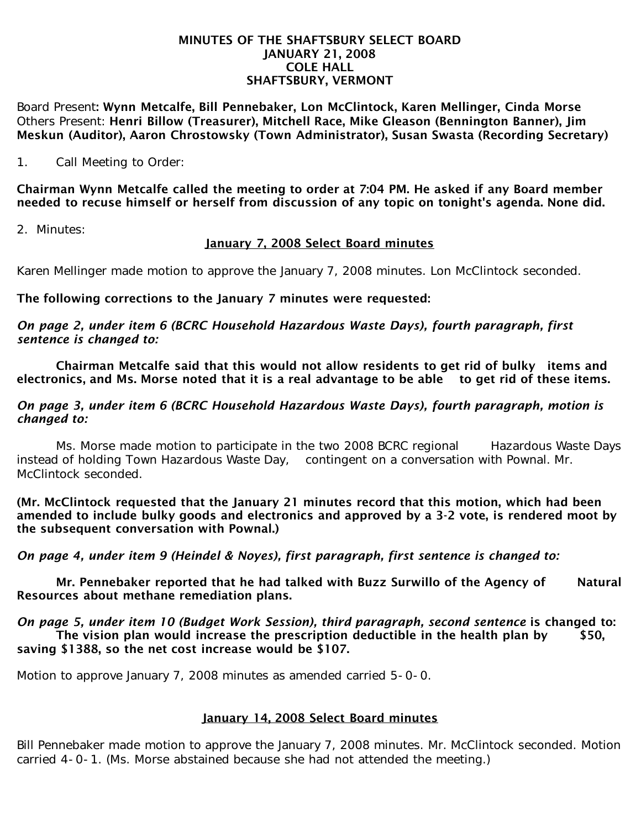#### MINUTES OF THE SHAFTSBURY SELECT BOARD JANUARY 21, 2008 COLE HALL SHAFTSBURY, VERMONT

Board Present: Wynn Metcalfe, Bill Pennebaker, Lon McClintock, Karen Mellinger, Cinda Morse Others Present: Henri Billow (Treasurer), Mitchell Race, Mike Gleason (Bennington Banner), Jim Meskun (Auditor), Aaron Chrostowsky (Town Administrator), Susan Swasta (Recording Secretary)

1. Call Meeting to Order:

Chairman Wynn Metcalfe called the meeting to order at 7:04 PM. He asked if any Board member needed to recuse himself or herself from discussion of any topic on tonight's agenda. None did.

2. Minutes:

# January 7, 2008 Select Board minutes

Karen Mellinger made motion to approve the January 7, 2008 minutes. Lon McClintock seconded.

## The following corrections to the January 7 minutes were requested:

*On page 2, under item 6 (BCRC Household Hazardous Waste Days), fourth paragraph, first sentence is changed to:*

 Chairman Metcalfe said that this would not allow residents to get rid of bulky items and electronics, and Ms. Morse noted that it is a real advantage to be able to get rid of these items.

### *On page 3, under item 6 (BCRC Household Hazardous Waste Days), fourth paragraph, motion is changed to:*

Ms. Morse made motion to participate in the two 2008 BCRC regional Hazardous Waste Days instead of holding Town Hazardous Waste Day, contingent on a conversation with Pownal. Mr. McClintock seconded.

(Mr. McClintock requested that the January 21 minutes record that this motion, which had been amended to include bulky goods and electronics and approved by a 3-2 vote, is rendered moot by the subsequent conversation with Pownal.)

*On page 4, under item 9 (Heindel & Noyes), first paragraph, first sentence is changed to:*

Mr. Pennebaker reported that he had talked with Buzz Surwillo of the Agency of Natural Resources about methane remediation plans.

*On page 5, under item 10 (Budget Work Session), third paragraph, second sentence is changed to:* The vision plan would increase the prescription deductible in the health plan by  $$50$ , saving \$1388, so the net cost increase would be \$107.

Motion to approve January 7, 2008 minutes as amended carried 5-0-0.

# January 14, 2008 Select Board minutes

Bill Pennebaker made motion to approve the January 7, 2008 minutes. Mr. McClintock seconded. Motion carried 4-0-1. (Ms. Morse abstained because she had not attended the meeting.)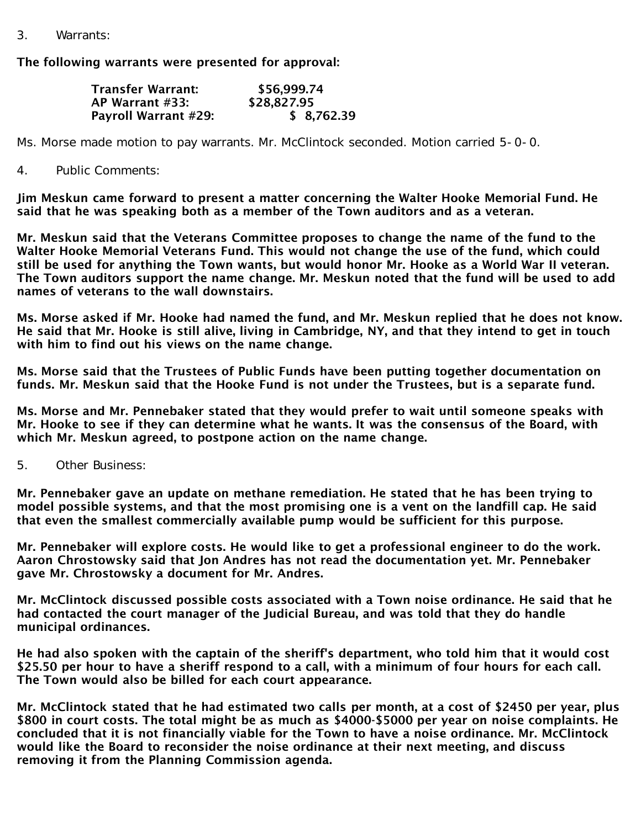3. Warrants:

### The following warrants were presented for approval:

| <b>Transfer Warrant:</b> | \$56,999.74 |
|--------------------------|-------------|
| AP Warrant #33:          | \$28,827.95 |
| Payroll Warrant #29:     | \$8,762.39  |

Ms. Morse made motion to pay warrants. Mr. McClintock seconded. Motion carried 5-0-0.

### 4. Public Comments:

Jim Meskun came forward to present a matter concerning the Walter Hooke Memorial Fund. He said that he was speaking both as a member of the Town auditors and as a veteran.

Mr. Meskun said that the Veterans Committee proposes to change the name of the fund to the Walter Hooke Memorial Veterans Fund. This would not change the use of the fund, which could still be used for anything the Town wants, but would honor Mr. Hooke as a World War II veteran. The Town auditors support the name change. Mr. Meskun noted that the fund will be used to add names of veterans to the wall downstairs.

Ms. Morse asked if Mr. Hooke had named the fund, and Mr. Meskun replied that he does not know. He said that Mr. Hooke is still alive, living in Cambridge, NY, and that they intend to get in touch with him to find out his views on the name change.

Ms. Morse said that the Trustees of Public Funds have been putting together documentation on funds. Mr. Meskun said that the Hooke Fund is not under the Trustees, but is a separate fund.

Ms. Morse and Mr. Pennebaker stated that they would prefer to wait until someone speaks with Mr. Hooke to see if they can determine what he wants. It was the consensus of the Board, with which Mr. Meskun agreed, to postpone action on the name change.

5. Other Business:

Mr. Pennebaker gave an update on methane remediation. He stated that he has been trying to model possible systems, and that the most promising one is a vent on the landfill cap. He said that even the smallest commercially available pump would be sufficient for this purpose.

Mr. Pennebaker will explore costs. He would like to get a professional engineer to do the work. Aaron Chrostowsky said that Jon Andres has not read the documentation yet. Mr. Pennebaker gave Mr. Chrostowsky a document for Mr. Andres.

Mr. McClintock discussed possible costs associated with a Town noise ordinance. He said that he had contacted the court manager of the Judicial Bureau, and was told that they do handle municipal ordinances.

He had also spoken with the captain of the sheriff's department, who told him that it would cost \$25.50 per hour to have a sheriff respond to a call, with a minimum of four hours for each call. The Town would also be billed for each court appearance.

Mr. McClintock stated that he had estimated two calls per month, at a cost of \$2450 per year, plus \$800 in court costs. The total might be as much as \$4000-\$5000 per year on noise complaints. He concluded that it is not financially viable for the Town to have a noise ordinance. Mr. McClintock would like the Board to reconsider the noise ordinance at their next meeting, and discuss removing it from the Planning Commission agenda.